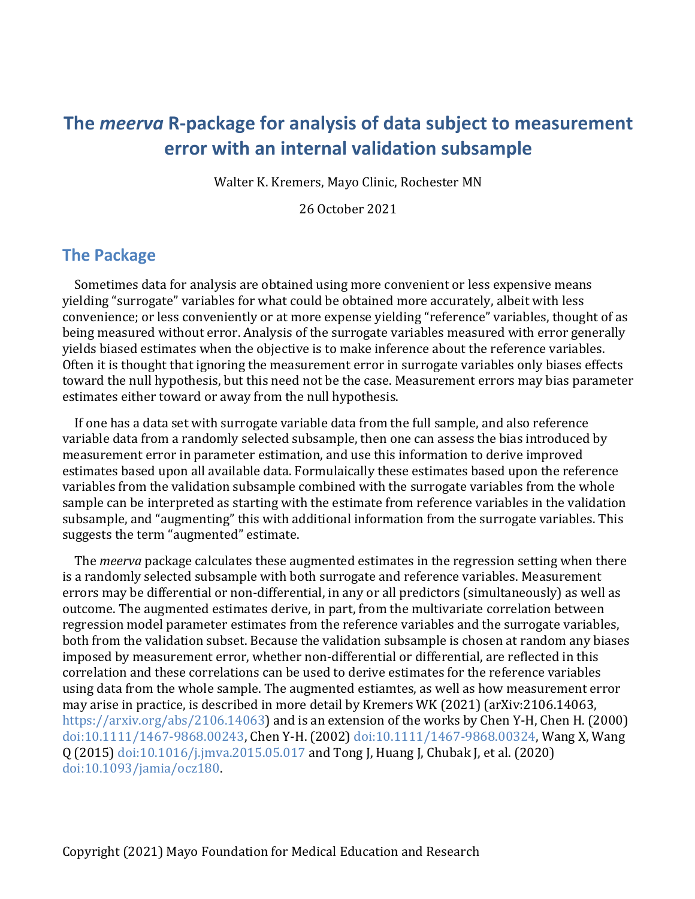# **The** *meerva* **R-package for analysis of data subject to measurement error with an internal validation subsample**

Walter K. Kremers, Mayo Clinic, Rochester MN

26 October 2021

#### **The Package**

Sometimes data for analysis are obtained using more convenient or less expensive means yielding "surrogate" variables for what could be obtained more accurately, albeit with less convenience; or less conveniently or at more expense yielding "reference" variables, thought of as being measured without error. Analysis of the surrogate variables measured with error generally yields biased estimates when the objective is to make inference about the reference variables. Often it is thought that ignoring the measurement error in surrogate variables only biases effects toward the null hypothesis, but this need not be the case. Measurement errors may bias parameter estimates either toward or away from the null hypothesis.

If one has a data set with surrogate variable data from the full sample, and also reference variable data from a randomly selected subsample, then one can assess the bias introduced by measurement error in parameter estimation, and use this information to derive improved estimates based upon all available data. Formulaically these estimates based upon the reference variables from the validation subsample combined with the surrogate variables from the whole sample can be interpreted as starting with the estimate from reference variables in the validation subsample, and "augmenting" this with additional information from the surrogate variables. This suggests the term "augmented" estimate.

The *meerva* package calculates these augmented estimates in the regression setting when there is a randomly selected subsample with both surrogate and reference variables. Measurement errors may be differential or non-differential, in any or all predictors (simultaneously) as well as outcome. The augmented estimates derive, in part, from the multivariate correlation between regression model parameter estimates from the reference variables and the surrogate variables, both from the validation subset. Because the validation subsample is chosen at random any biases imposed by measurement error, whether non-differential or differential, are reflected in this correlation and these correlations can be used to derive estimates for the reference variables using data from the whole sample. The augmented estiamtes, as well as how measurement error may arise in practice, is described in more detail by Kremers WK (2021) (arXiv:2106.14063, https://arxiv.org/abs/2106.14063) and is an extension of the works by Chen Y-H, Chen H. (2000) doi:10.1111/1467-9868.00243, Chen Y-H. (2002) doi:10.1111/1467-9868.00324, Wang X, Wang Q (2015) doi:10.1016/j.jmva.2015.05.017 and Tong J, Huang J, Chubak J, et al. (2020) doi:10.1093/jamia/ocz180.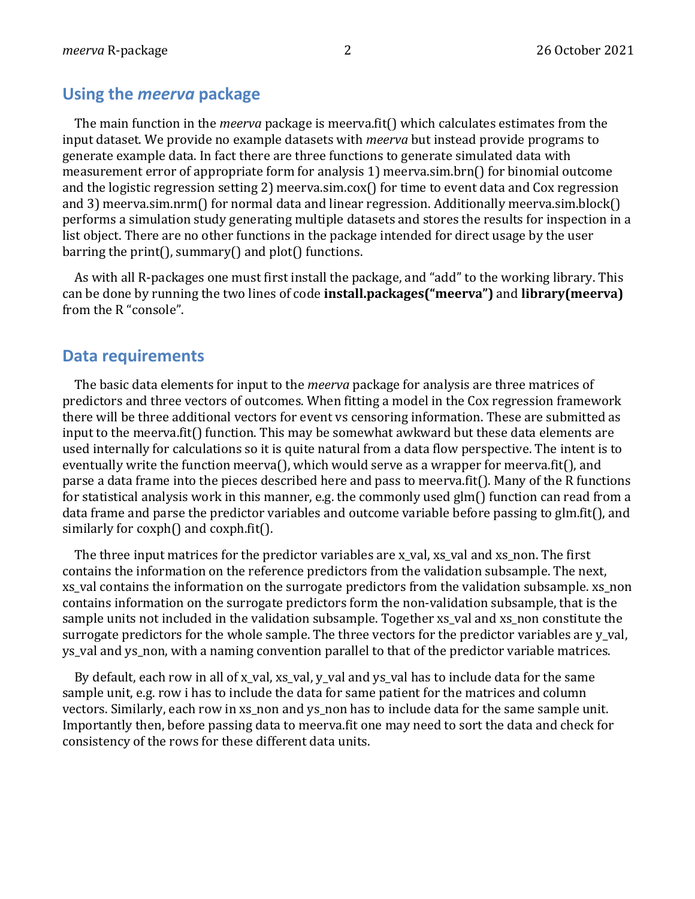#### **Using the** *meerva* **package**

The main function in the *meerva* package is meerva.fit() which calculates estimates from the input dataset. We provide no example datasets with *meerva* but instead provide programs to generate example data. In fact there are three functions to generate simulated data with measurement error of appropriate form for analysis 1) meerva.sim.brn() for binomial outcome and the logistic regression setting 2) meerva.sim.cox() for time to event data and Cox regression and 3) meerva.sim.nrm() for normal data and linear regression. Additionally meerva.sim.block() performs a simulation study generating multiple datasets and stores the results for inspection in a list object. There are no other functions in the package intended for direct usage by the user barring the print(), summary() and plot() functions.

As with all R-packages one must first install the package, and "add" to the working library. This can be done by running the two lines of code **install.packages("meerva")** and **library(meerva)** from the R "console".

#### **Data requirements**

The basic data elements for input to the *meerva* package for analysis are three matrices of predictors and three vectors of outcomes. When fitting a model in the Cox regression framework there will be three additional vectors for event vs censoring information. These are submitted as input to the meerva.fit() function. This may be somewhat awkward but these data elements are used internally for calculations so it is quite natural from a data flow perspective. The intent is to eventually write the function meerva(), which would serve as a wrapper for meerva.fit(), and parse a data frame into the pieces described here and pass to meerva.fit(). Many of the R functions for statistical analysis work in this manner, e.g. the commonly used glm() function can read from a data frame and parse the predictor variables and outcome variable before passing to glm.fit(), and similarly for  $\cosh()$  and  $\cosh(f)$ .

The three input matrices for the predictor variables are  $x$  val,  $xs$  val and  $xs$  non. The first contains the information on the reference predictors from the validation subsample. The next, xs\_val contains the information on the surrogate predictors from the validation subsample. xs\_non contains information on the surrogate predictors form the non-validation subsample, that is the sample units not included in the validation subsample. Together xs\_val and xs\_non constitute the surrogate predictors for the whole sample. The three vectors for the predictor variables are y\_val, ys\_val and ys\_non, with a naming convention parallel to that of the predictor variable matrices.

By default, each row in all of x\_val, xs\_val, y\_val and ys\_val has to include data for the same sample unit, e.g. row i has to include the data for same patient for the matrices and column vectors. Similarly, each row in xs\_non and ys\_non has to include data for the same sample unit. Importantly then, before passing data to meerva.fit one may need to sort the data and check for consistency of the rows for these different data units.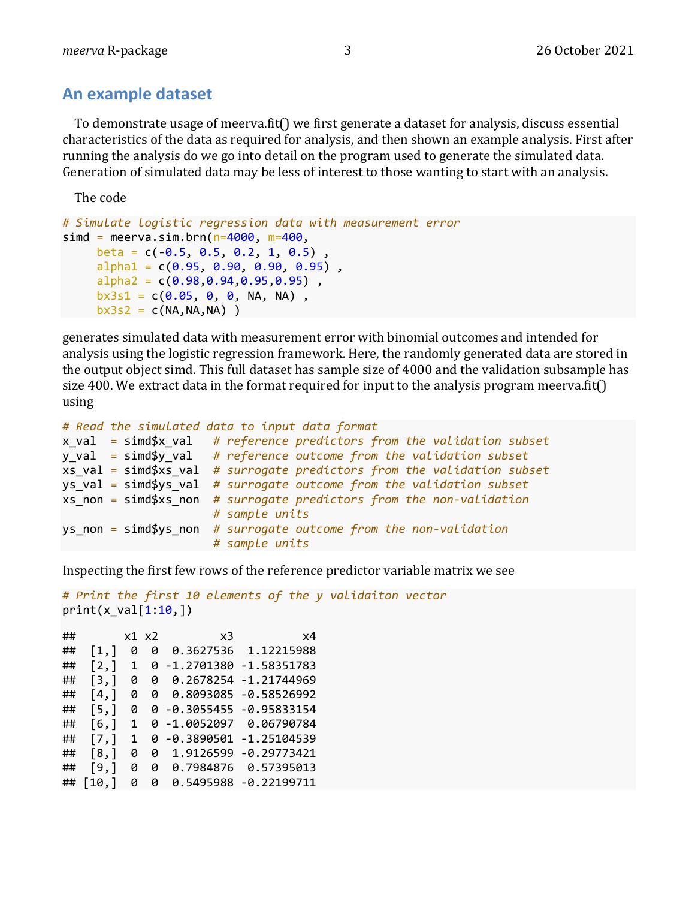## **An example dataset**

To demonstrate usage of meerva.fit() we first generate a dataset for analysis, discuss essential characteristics of the data as required for analysis, and then shown an example analysis. First after running the analysis do we go into detail on the program used to generate the simulated data. Generation of simulated data may be less of interest to those wanting to start with an analysis.

The code

```
# Simulate logistic regression data with measurement error
simd = meerva.sim.brn(n=4000, m=400,
    beta = c(-0.5, 0.5, 0.2, 1, 0.5),
     alpha1 = c(0.95, 0.90, 0.90, 0.95),
     alpha2 = c(0.98, 0.94, 0.95, 0.95),
     bx3s1 = c(0.05, 0, 0, NA, NA),
    bx3s2 = c(NA, NA, NA)
```
generates simulated data with measurement error with binomial outcomes and intended for analysis using the logistic regression framework. Here, the randomly generated data are stored in the output object simd. This full dataset has sample size of 4000 and the validation subsample has size 400. We extract data in the format required for input to the analysis program meerva.fit() using

```
# Read the simulated data to input data format
x_val = simd$x_val # reference predictors from the validation subset
y_val = simd$y_val # reference outcome from the validation subset
xs_val = simd$xs_val # surrogate predictors from the validation subset
ys_val = simd$ys_val # surrogate outcome from the validation subset
xs_non = simd$xs_non # surrogate predictors from the non-validation 
                      # sample units
ys_non = simd$ys_non # surrogate outcome from the non-validation 
                      # sample units
```
Inspecting the first few rows of the reference predictor variable matrix we see

```
# Print the first 10 elements of the y validaiton vector
print(x_val[1:10,])
```

| ## |                    |   | x1 x2 | x3           | x4                       |
|----|--------------------|---|-------|--------------|--------------------------|
| ## | $\lceil 1, \rceil$ | ø | ø     | 0.3627536    | 1.12215988               |
| ## | $\lceil 2, \rceil$ | 1 | Ø     | -1.2701380   | $-1.58351783$            |
| ## | [3,]               | Ø | Ø     | 0.2678254    | $-1.21744969$            |
| ## | [4, 1]             | ø | A     | 0.8093085    | $-0.58526992$            |
| ## | $\lceil 5, \rceil$ | Ø |       |              | 0 -0.3055455 -0.95833154 |
| ## | [6,1]              | 1 |       | 0 -1.0052097 | 0.06790784               |
| ## | [7,1]              | 1 | a     | -0.3890501   | $-1.25104539$            |
| ## | [8,]               | Ø | Ø     | 1.9126599    | -0.29773421              |
| ## | [9,]               | ø | ø     | 0.7984876    | 0.57395013               |
| ## | [10,]              | Ø | ø     | 0.5495988    | $-0.22199711$            |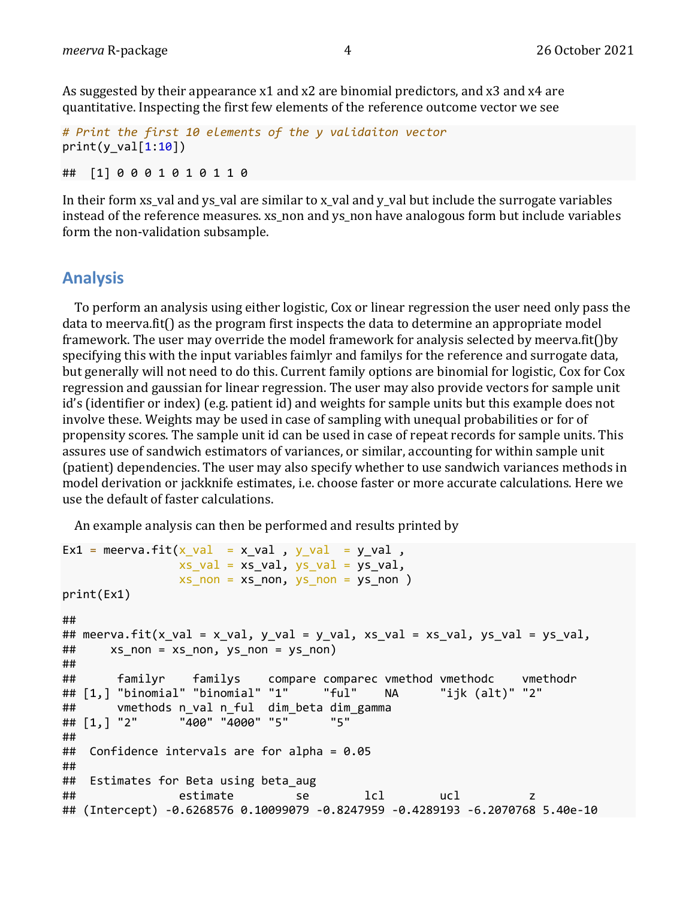As suggested by their appearance  $x1$  and  $x2$  are binomial predictors, and  $x3$  and  $x4$  are quantitative. Inspecting the first few elements of the reference outcome vector we see

```
# Print the first 10 elements of the y validaiton vector
print(y val[1:10])
```
## [1] 0 0 0 1 0 1 0 1 1 0

In their form  $xs_$ val and  $ys_$ val are similar to  $x_$ val and  $y_$ val but include the surrogate variables instead of the reference measures, xs non and ys non have analogous form but include variables form the non-validation subsample.

#### **Analysis**

To perform an analysis using either logistic, Cox or linear regression the user need only pass the  $data$  to meerva.fit $()$  as the program first inspects the data to determine an appropriate model framework. The user may override the model framework for analysis selected by meerva.fit()by specifying this with the input variables faimlyr and familys for the reference and surrogate data, but generally will not need to do this. Current family options are binomial for logistic, Cox for Cox regression and gaussian for linear regression. The user may also provide vectors for sample unit id's (identifier or index) (e.g. patient id) and weights for sample units but this example does not involve these. Weights may be used in case of sampling with unequal probabilities or for of propensity scores. The sample unit id can be used in case of repeat records for sample units. This assures use of sandwich estimators of variances, or similar, accounting for within sample unit (patient) dependencies. The user may also specify whether to use sandwich variances methods in model derivation or jackknife estimates, *i.e.* choose faster or more accurate calculations. Here we use the default of faster calculations.

An example analysis can then be performed and results printed by

```
Ex1 = meerva.fit(x val = x val , y_val = y_val ,
               xs val = xs val, ys val = ys val,
               xs non = xs_non, ys_non = ys_non )
print(Ex1)
## 
## meerva.fit(x_val = x_val, y_val = y_val, xs_val = xs_val, ys_val = ys_val, 
## xs_non = xs_non, ys_non = ys_non)
## 
## familyr familys compare comparec vmethod vmethodc vmethodr
## [1,] "binomial" "binomial" "1" "ful" NA "ijk (alt)" "2" 
## vmethods n_val n_ful dim_beta dim_gamma
## [1,] "2" "400" "4000" "5" "5" 
## 
## Confidence intervals are for alpha = 0.05
## 
## Estimates for Beta using beta_aug 
## estimate se lcl ucl z 
## (Intercept) -0.6268576 0.10099079 -0.8247959 -0.4289193 -6.2070768 5.40e-10
```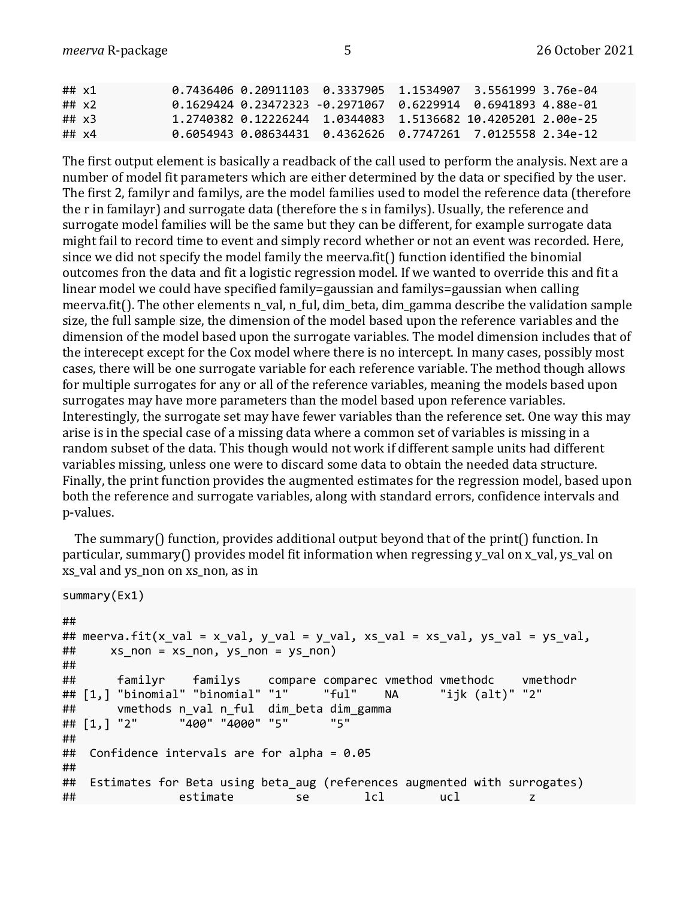| ## $x1$ |         |  |  | 0.7436406  0.20911103  0.3337905  1.1534907  3.5561999  3.76e-04                 |
|---------|---------|--|--|----------------------------------------------------------------------------------|
|         | ## $x2$ |  |  | $0.1629424$ $0.23472323$ -0.2971067 $0.6229914$ 0.6941893 4.88e-01               |
| ## $x3$ |         |  |  | 1.2740382     0.12226244     1.0344083     1.5136682     10.4205201     2.00e-25 |
| ## x4   |         |  |  | 0.6054943  0.08634431  0.4362626  0.7747261  7.0125558  2.34e-12                 |

The first output element is basically a readback of the call used to perform the analysis. Next are a number of model fit parameters which are either determined by the data or specified by the user. The first 2, familyr and familys, are the model families used to model the reference data (therefore the r in familayr) and surrogate data (therefore the s in familys). Usually, the reference and surrogate model families will be the same but they can be different, for example surrogate data might fail to record time to event and simply record whether or not an event was recorded. Here, since we did not specify the model family the meerva.fit() function identified the binomial outcomes fron the data and fit a logistic regression model. If we wanted to override this and fit a linear model we could have specified family=gaussian and familys=gaussian when calling meerva.fit(). The other elements n\_val, n\_ful, dim\_beta, dim\_gamma describe the validation sample size, the full sample size, the dimension of the model based upon the reference variables and the dimension of the model based upon the surrogate variables. The model dimension includes that of the interecept except for the Cox model where there is no intercept. In many cases, possibly most cases, there will be one surrogate variable for each reference variable. The method though allows for multiple surrogates for any or all of the reference variables, meaning the models based upon surrogates may have more parameters than the model based upon reference variables. Interestingly, the surrogate set may have fewer variables than the reference set. One way this may arise is in the special case of a missing data where a common set of variables is missing in a random subset of the data. This though would not work if different sample units had different variables missing, unless one were to discard some data to obtain the needed data structure. Finally, the print function provides the augmented estimates for the regression model, based upon both the reference and surrogate variables, along with standard errors, confidence intervals and p-values.

The summary() function, provides additional output beyond that of the print() function. In particular, summary() provides model fit information when regressing y\_val on x\_val, ys\_val on xs\_val and ys\_non on xs\_non, as in

```
summary(Ex1)
## 
## meerva.fit(x_val = x_val, y_val = y_val, xs_val = xs_val, ys_val = ys_val, 
\# xs_non = xs_non, ys_non = ys_non)
## 
## familyr familys compare comparec vmethod vmethodc vmethodr
## [1,] "binomial" "binomial" "1" "ful" NA "ijk (alt)" "2" 
## vmethods n_val n_ful dim_beta dim_gamma
## [1,] "2" "400" "4000" "5" "5" 
## 
## Confidence intervals are for alpha = 0.05
## 
## Estimates for Beta using beta_aug (references augmented with surrogates)
## estimate se lcl ucl z
```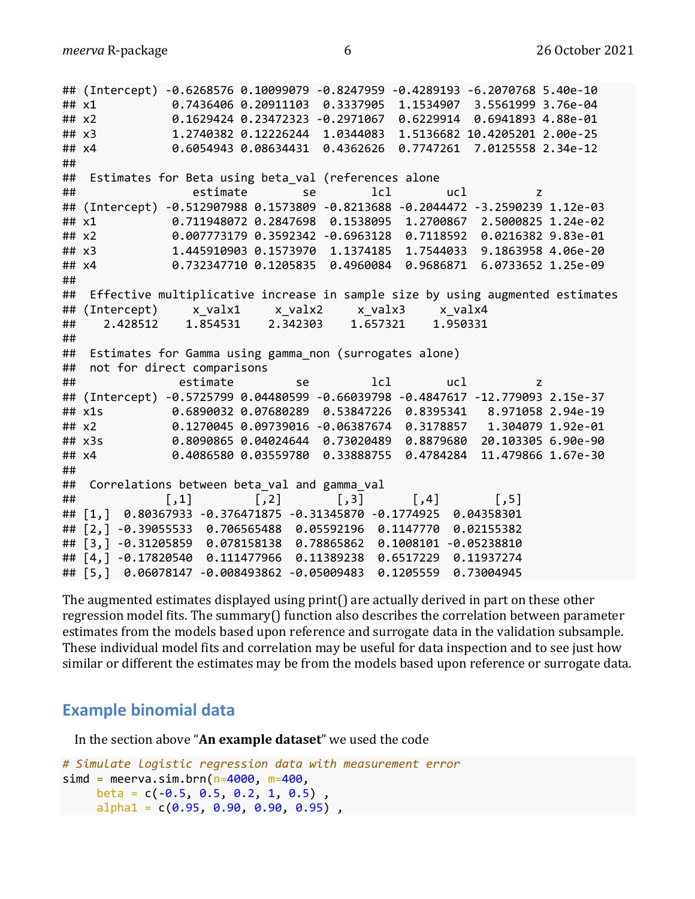*meerva* R-package 6 26 October 2021

```
## (Intercept) -0.6268576 0.10099079 -0.8247959 -0.4289193 -6.2070768 5.40e-10
## x1 0.7436406 0.20911103 0.3337905 1.1534907 3.5561999 3.76e-04
## x2 0.1629424 0.23472323 -0.2971067 0.6229914 0.6941893 4.88e-01
## x3 1.2740382 0.12226244 1.0344083 1.5136682 10.4205201 2.00e-25
## x4 0.6054943 0.08634431 0.4362626 0.7747261 7.0125558 2.34e-12
## 
## Estimates for Beta using beta_val (references alone
## estimate se lcl ucl z 
## (Intercept) -0.512907988 0.1573809 -0.8213688 -0.2044472 -3.2590239 1.12e-03
## x1 0.711948072 0.2847698 0.1538095 1.2700867 2.5000825 1.24e-02
## x2 0.007773179 0.3592342 -0.6963128 0.7118592 0.0216382 9.83e-01
## x3 1.445910903 0.1573970 1.1374185 1.7544033 9.1863958 4.06e-20
## x4 0.732347710 0.1205835 0.4960084 0.9686871 6.0733652 1.25e-09
## 
## Effective multiplicative increase in sample size by using augmented estimates
## (Intercept) x valx1 x valx2 x valx3 x valx4
## 2.428512 1.854531 2.342303 1.657321 1.950331 
## 
## Estimates for Gamma using gamma_non (surrogates alone)
## not for direct comparisons 
## estimate se lcl ucl z 
## (Intercept) -0.5725799 0.04480599 -0.66039798 -0.4847617 -12.779093 2.15e-37
## x1s 0.6890032 0.07680289 0.53847226 0.8395341 8.971058 2.94e-19
## x2 0.1270045 0.09739016 -0.06387674 0.3178857 1.304079 1.92e-01
## x3s 0.8090865 0.04024644 0.73020489 0.8879680 20.103305 6.90e-90
## x4 0.4086580 0.03559780 0.33888755 0.4784284 11.479866 1.67e-30
## 
## Correlations between beta val and gamma val
## [,1] [,2] [,3] [,4] [,5]
## [1,] 0.80367933 -0.376471875 -0.31345870 -0.1774925 0.04358301
## [2,] -0.39055533 0.706565488 0.05592196 0.1147770 0.02155382
## [3,] -0.31205859 0.078158138 0.78865862 0.1008101 -0.05238810
## [4,] -0.17820540 0.111477966 0.11389238 0.6517229 0.11937274
## [5,] 0.06078147 -0.008493862 -0.05009483 0.1205559 0.73004945
```
The augmented estimates displayed using print() are actually derived in part on these other regression model fits. The summary() function also describes the correlation between parameter estimates from the models based upon reference and surrogate data in the validation subsample. These individual model fits and correlation may be useful for data inspection and to see just how similar or different the estimates may be from the models based upon reference or surrogate data.

### **Example binomial data**

In the section above "**An example dataset**" we used the code

```
# Simulate logistic regression data with measurement error
simd = meerva.sim.brn(n=4000, m=400,
    beta = c(-0.5, 0.5, 0.2, 1, 0.5),
     alpha1 = c(0.95, 0.90, 0.90, 0.95),
```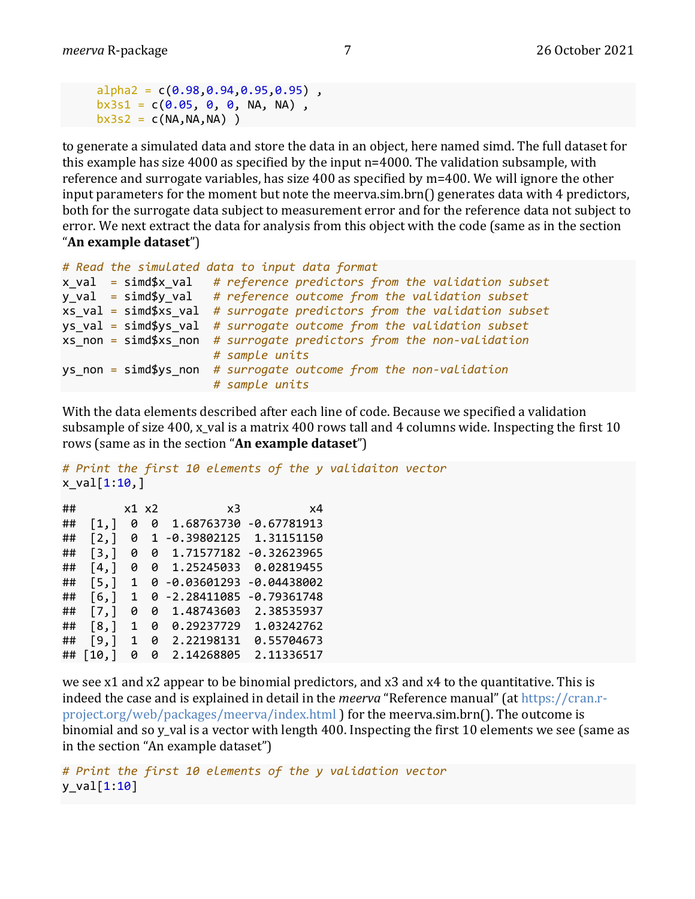```
alpha2 = c(0.98, 0.94, 0.95, 0.95),
bx3s1 = c(0.05, 0, 0, NA, NA),
bx3s2 = c(NA, NA, NA)
```
to generate a simulated data and store the data in an object, here named simd. The full dataset for this example has size  $4000$  as specified by the input  $n=4000$ . The validation subsample, with reference and surrogate variables, has size 400 as specified by  $m=400$ . We will ignore the other input parameters for the moment but note the meerva.sim.brn $\iota$  generates data with 4 predictors, both for the surrogate data subject to measurement error and for the reference data not subject to error. We next extract the data for analysis from this object with the code (same as in the section "**An example dataset**")

```
# Read the simulated data to input data format
x_val = simd$x_val # reference predictors from the validation subset
y_val = simd$y_val # reference outcome from the validation subset
xs_val = simd$xs_val # surrogate predictors from the validation subset
ys_val = simd$ys_val # surrogate outcome from the validation subset
xs_non = simd$xs_non # surrogate predictors from the non-validation 
                      # sample units
ys_non = simd$ys_non # surrogate outcome from the non-validation 
                      # sample units
```
With the data elements described after each line of code. Because we specified a validation subsample of size 400, x val is a matrix 400 rows tall and 4 columns wide. Inspecting the first 10 rows (same as in the section "An example dataset")

```
# Print the first 10 elements of the y validaiton vector
x val[1:10,]
```

| ## |                     |   | x1 x2 | x3               | x4            |
|----|---------------------|---|-------|------------------|---------------|
| ## | [1,]                | ø | Ø     | 1.68763730       | $-0.67781913$ |
| ## | $\lceil 2, \rceil$  | ø |       | -0.39802125      | 1.31151150    |
| ## | [3,]                | Ø | Ø     | 1,71577182       | $-0.32623965$ |
| ## | [4,]                | ø | Ø     | 1.25245033       | 0.02819455    |
| ## | [5,1]               | 1 |       | 0 -0.03601293    | -0.04438002   |
| ## | [6,]                | 1 |       | $0 - 2.28411085$ | -0.79361748   |
| ## | [7,]                | ø | ø     | 1.48743603       | 2.38535937    |
| ## | $\lceil 8, \rceil$  | 1 | Ø     | 0.29237729       | 1.03242762    |
| ## | [9,]                | 1 | ø     | 2.22198131       | 0.55704673    |
| ## | $\lceil 10, \rceil$ | ø | Ø     | 2.14268805       | 2.11336517    |

we see x1 and x2 appear to be binomial predictors, and x3 and x4 to the quantitative. This is indeed the case and is explained in detail in the *meerva* "Reference manual" (at https://cran.rproject.org/web/packages/meerva/index.html ) for the meerva.sim.brn(). The outcome is binomial and so y\_val is a vector with length 400. Inspecting the first 10 elements we see (same as in the section "An example dataset")

```
# Print the first 10 elements of the y validation vector
y_val[1:10]
```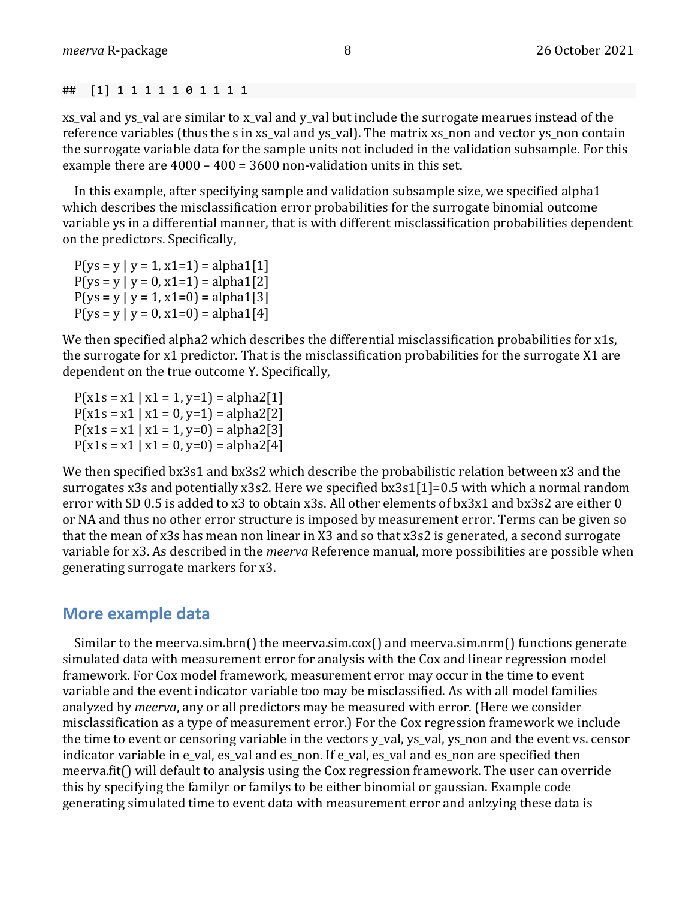## [1] 1 1 1 1 1 0 1 1 1 1

xs\_val and ys\_val are similar to x\_val and y\_val but include the surrogate mearues instead of the reference variables (thus the s in xs val and ys val). The matrix xs non and vector ys non contain the surrogate variable data for the sample units not included in the validation subsample. For this example there are  $4000 - 400 = 3600$  non-validation units in this set.

In this example, after specifying sample and validation subsample size, we specified alpha1 which describes the misclassification error probabilities for the surrogate binomial outcome variable ys in a differential manner, that is with different misclassification probabilities dependent on the predictors. Specifically,

 $P(ys = y | y = 1, x1=1) = alpha1[1]$  $P(ys = y | y = 0, x1=1) = alpha1[2]$  $P(ys = y | y = 1, x1=0) = alpha1[3]$  $P(ys = y | y = 0, x1=0) = alpha1[4]$ 

We then specified alpha2 which describes the differential misclassification probabilities for x1s, the surrogate for x1 predictor. That is the misclassification probabilities for the surrogate X1 are dependent on the true outcome Y. Specifically,

 $P(x1s = x1 | x1 = 1, y=1) = alpha2[1]$  $P(x1s = x1 | x1 = 0, y=1) = alpha2[2]$  $P(x1s = x1 | x1 = 1, y=0) = alpha2[3]$  $P(x1s = x1 | x1 = 0, y=0) = alpha2[4]$ 

We then specified bx3s1 and bx3s2 which describe the probabilistic relation between x3 and the surrogates x3s and potentially x3s2. Here we specified  $bx3s1[1]=0.5$  with which a normal random error with SD 0.5 is added to  $x3$  to obtain  $x3s$ . All other elements of  $bx3x1$  and  $bx3s2$  are either 0 or NA and thus no other error structure is imposed by measurement error. Terms can be given so that the mean of x3s has mean non linear in X3 and so that x3s2 is generated, a second surrogate variable for x3. As described in the *meerva* Reference manual, more possibilities are possible when generating surrogate markers for x3.

#### **More example data**

Similar to the meerva.sim.brn() the meerva.sim.cox() and meerva.sim.nrm() functions generate simulated data with measurement error for analysis with the Cox and linear regression model framework. For Cox model framework, measurement error may occur in the time to event variable and the event indicator variable too may be misclassified. As with all model families analyzed by *meerva*, any or all predictors may be measured with error. (Here we consider misclassification as a type of measurement error.) For the Cox regression framework we include the time to event or censoring variable in the vectors  $v$  val,  $v_s$  val,  $v_s$  non and the event  $v_s$ . censor indicator variable in e\_val, es\_val and es\_non. If e\_val, es\_val and es\_non are specified then meerva.fit() will default to analysis using the Cox regression framework. The user can override this by specifying the familyr or familys to be either binomial or gaussian. Example code generating simulated time to event data with measurement error and anlzying these data is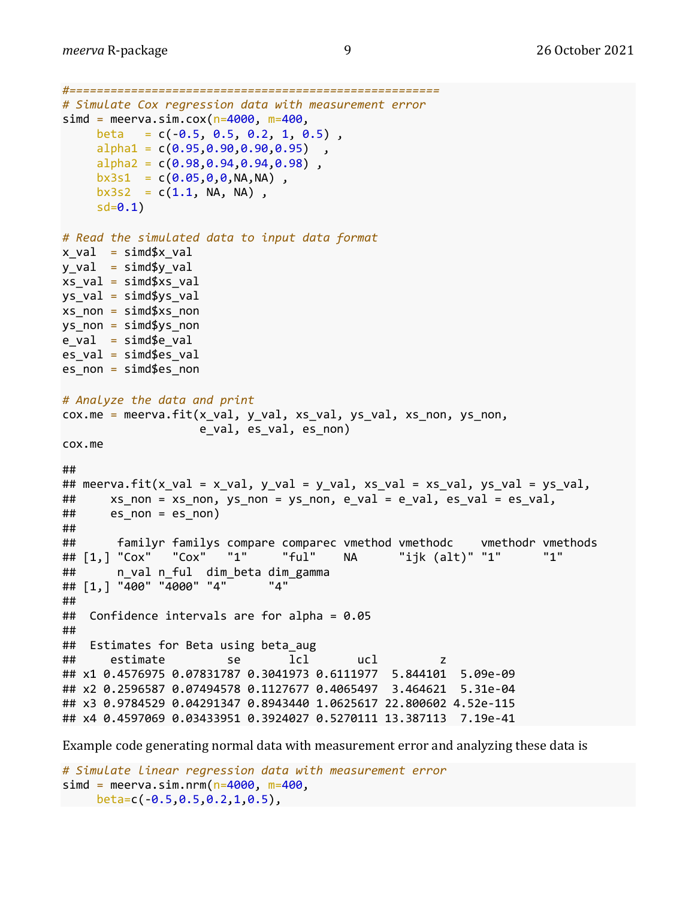```
#======================================================
# Simulate Cox regression data with measurement error
simd = meerva.sim.cox(n=4000, m=400,
    beta = c(-0.5, 0.5, 0.2, 1, 0.5),
     alpha1 = c(0.95, 0.90, 0.90, 0.95),
    alpha2 = c(0.98, 0.94, 0.94, 0.98),
    bx3s1 = c(0.05, 0, 0, NA, NA),
    bx3s2 = c(1.1, NA, NA),
     sd = 0.1# Read the simulated data to input data format
x val = simd$x_val
y val = simd$y val
xs val = simd$xs val
ys val = simd$ys val
xs non = sim\$xs non
ys non = simd$ys non
e val = simde_val
es val = simd$es val
es non = simd$es non
# Analyze the data and print 
cox.me = meerva.fit(x_val, y_val, xs_val, ys_val, xs_non, ys_non,
                     e_val, es_val, es_non)
cox.me
## 
## meerva.fit(x_val = x_val, y_val = y_val, xs_val = xs_val, ys_val = ys_val, 
## xs_non = xs_non, ys_non = ys_non, e_val = e_val, es_val = es_val, 
\# es_non = es_non)
## 
## familyr familys compare comparec vmethod vmethodc vmethodr vmethods<br>## [1,] "Cox" "Cox" "1" "ful" NA "ijk (alt)" "1" "1"
## [1,] "Cox" "Cox" "1" "ful" NA "ijk (alt)" "1" "1" 
## n_val n_ful dim_beta dim_gamma
## [1,] "400" "4000" "4" "4" 
## 
## Confidence intervals are for alpha = 0.05
## 
## Estimates for Beta using beta_aug 
## estimate se lcl ucl z 
## x1 0.4576975 0.07831787 0.3041973 0.6111977 5.844101 5.09e-09
## x2 0.2596587 0.07494578 0.1127677 0.4065497 3.464621 5.31e-04
## x3 0.9784529 0.04291347 0.8943440 1.0625617 22.800602 4.52e-115
## x4 0.4597069 0.03433951 0.3924027 0.5270111 13.387113 7.19e-41
```
Example code generating normal data with measurement error and analyzing these data is

```
# Simulate linear regression data with measurement error
simd = meerva.sim.nrm(n=4000, m=400,
 beta=c(-0.5,0.5,0.2,1,0.5),
```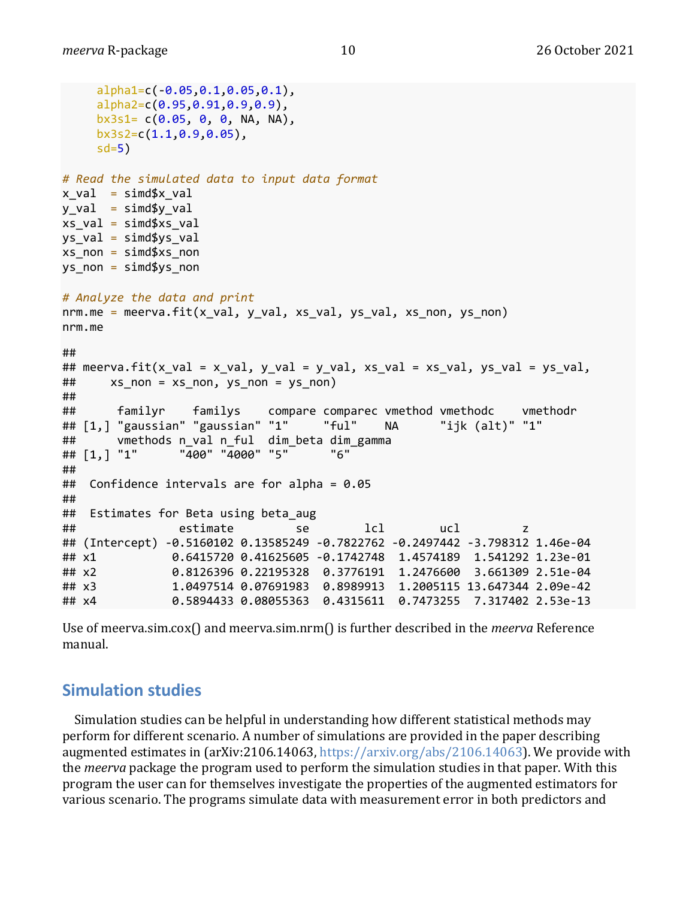```
 alpha1=c(-0.05,0.1,0.05,0.1), 
     alpha2=c(0.95,0.91,0.9,0.9),
    bx3s1= c(0.05, 0, 0, NA, NA), bx3s2=c(1.1,0.9,0.05),
    sd=5)# Read the simulated data to input data format
x val = simd$x val
y val = simd$y val
xs_val = simd$xs_valys_val = simd$ys_val
xs non = sim\ys non = simd$ys non
# Analyze the data and print
nrm.me = meerva.fit(x_val, y_val, xs_val, ys_val, xs_non, ys_non)
nrm.me
## 
## meerva.fit(x_val = x_val, y_val = y_val, xs_val = xs_val, ys_val = ys_val,
\# xs_non = xs_non, ys_non = ys_non)
## 
## familyr familys compare comparec vmethod vmethodc vmethodr
## [1,] "gaussian" "gaussian" "1" "ful" NA "ijk (alt)" "1" 
## vmethods n_val n_ful dim_beta dim_gamma
## [1,] "1" "400" "4000" "5" "6" 
## 
## Confidence intervals are for alpha = 0.05
## 
## Estimates for Beta using beta_aug 
## estimate se lcl ucl z 
## (Intercept) -0.5160102 0.13585249 -0.7822762 -0.2497442 -3.798312 1.46e-04
## x1 0.6415720 0.41625605 -0.1742748 1.4574189 1.541292 1.23e-01
## x2 0.8126396 0.22195328 0.3776191 1.2476600 3.661309 2.51e-04
## x3 1.0497514 0.07691983 0.8989913 1.2005115 13.647344 2.09e-42
## x4 0.5894433 0.08055363 0.4315611 0.7473255 7.317402 2.53e-13
```
Use of meerva.sim.cox() and meerva.sim.nrm() is further described in the *meerva* Reference manual.

### **Simulation studies**

Simulation studies can be helpful in understanding how different statistical methods may perform for different scenario. A number of simulations are provided in the paper describing augmented estimates in (arXiv:2106.14063, https://arxiv.org/abs/2106.14063). We provide with the *meerva* package the program used to perform the simulation studies in that paper. With this program the user can for themselves investigate the properties of the augmented estimators for various scenario. The programs simulate data with measurement error in both predictors and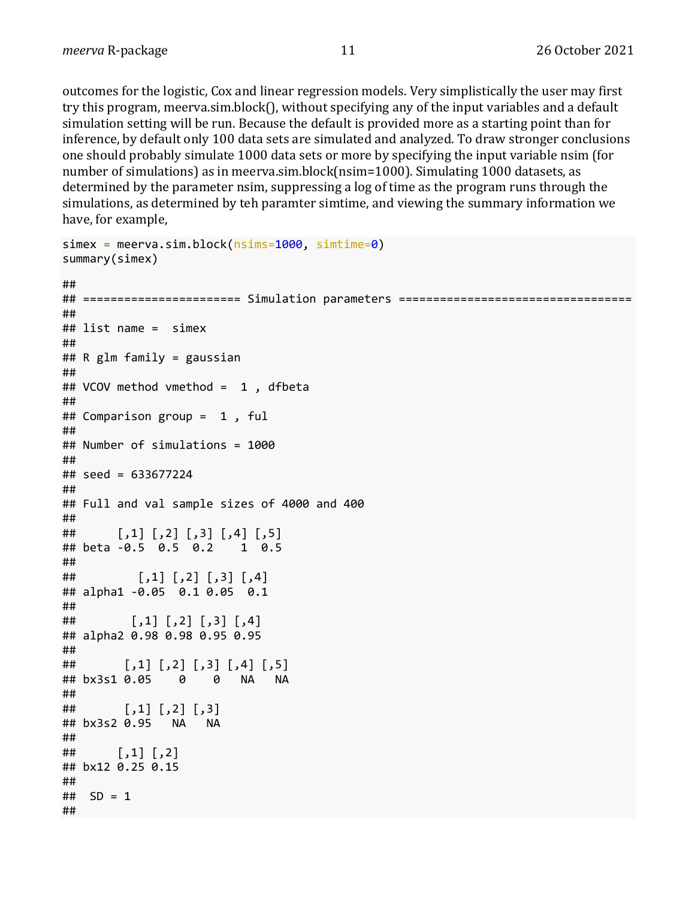outcomes for the logistic, Cox and linear regression models. Very simplistically the user may first try this program, meerva.sim.block(), without specifying any of the input variables and a default simulation setting will be run. Because the default is provided more as a starting point than for inference, by default only 100 data sets are simulated and analyzed. To draw stronger conclusions one should probably simulate 1000 data sets or more by specifying the input variable nsim (for number of simulations) as in meerva.sim.block( $nsim=1000$ ). Simulating 1000 datasets, as determined by the parameter nsim, suppressing a log of time as the program runs through the simulations, as determined by teh paramter simtime, and viewing the summary information we have, for example,

```
simex = meerva.sim.block(nsims=1000, simtime=0)
summary(simex)
## 
## ======================= Simulation parameters ==================================
## 
## list name = simex 
## 
## R glm family = gaussian
## 
## VCOV method vmethod = 1 , dfbeta
## 
## Comparison group = 1 , ful
## 
## Number of simulations = 1000
## 
## seed = 633677224
## 
## Full and val sample sizes of 4000 and 400
## 
## [,1] [,2] [,3] [,4] [,5]
## beta -0.5 0.5 0.2 1 0.5
## 
## [,1] [,2] [,3] [,4]
## alpha1 -0.05 0.1 0.05 0.1
## 
## [,1] [,2] [,3] [,4]
## alpha2 0.98 0.98 0.95 0.95
## 
## [,1] [,2] [,3] [,4] [,5]
## bx3s1 0.05 0 0 NA NA
## 
\sharp\sharp [,1] [,2] [,3]
## bx3s2 0.95 NA NA
## 
## [,1] [,2]
## bx12 0.25 0.15
## 
## SD = 1
##
```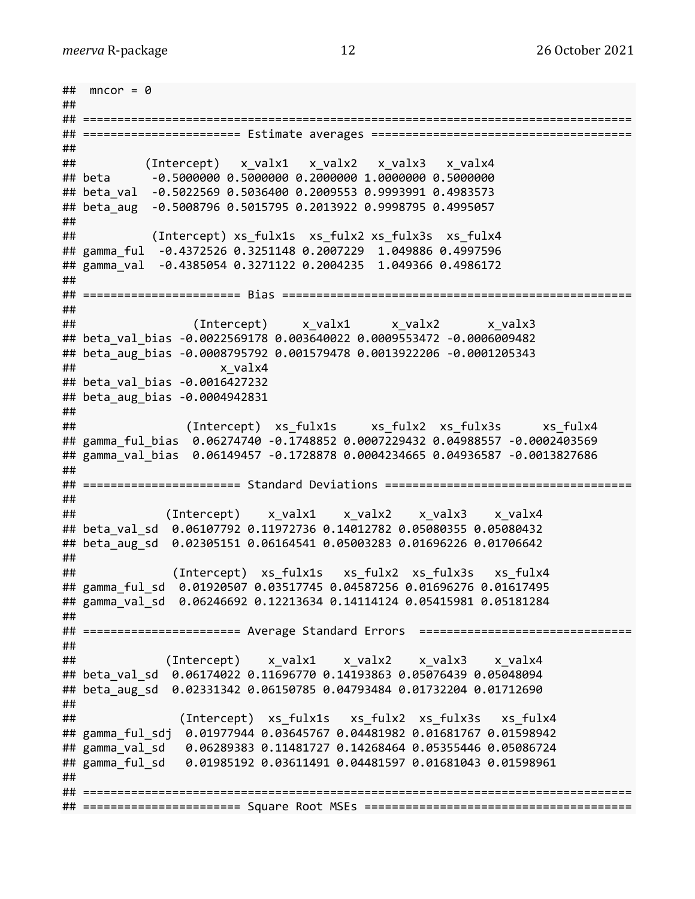```
\# mncor = 0
## 
## ================================================================================
## ======================= Estimate averages ======================================
## 
## (Intercept) x valx1 x valx2 x valx3 x valx4
## beta -0.5000000 0.5000000 0.2000000 1.0000000 0.5000000
## beta_val -0.5022569 0.5036400 0.2009553 0.9993991 0.4983573
## beta_aug -0.5008796 0.5015795 0.2013922 0.9998795 0.4995057
## 
## (Intercept) xs_fulx1s xs_fulx2 xs_fulx3s xs_fulx4
## gamma_ful -0.4372526 0.3251148 0.2007229 1.049886 0.4997596
## gamma_val -0.4385054 0.3271122 0.2004235 1.049366 0.4986172
## 
## ======================= Bias ===================================================
## 
## (Intercept) x_valx1 x_valx2 x_valx3
## beta_val_bias -0.0022569178 0.003640022 0.0009553472 -0.0006009482
## beta_aug_bias -0.0008795792 0.001579478 0.0013922206 -0.0001205343
## x_valx4
## beta_val_bias -0.0016427232
## beta_aug_bias -0.0004942831
## 
## (Intercept) xs_fulx1s xs_fulx2 xs_fulx3s xs_fulx4
## gamma_ful_bias 0.06274740 -0.1748852 0.0007229432 0.04988557 -0.0002403569
## gamma_val_bias 0.06149457 -0.1728878 0.0004234665 0.04936587 -0.0013827686
## 
## ======================= Standard Deviations ====================================
## 
## (Intercept) x_valx1 x_valx2 x_valx3 x_valx4
## beta_val_sd 0.06107792 0.11972736 0.14012782 0.05080355 0.05080432
## beta_aug_sd 0.02305151 0.06164541 0.05003283 0.01696226 0.01706642
## 
## (Intercept) xs_fulx1s xs_fulx2 xs_fulx3s xs_fulx4
## gamma ful sd 0.01920507 0.03517745 0.04587256 0.01696276 0.01617495
## gamma_val_sd 0.06246692 0.12213634 0.14114124 0.05415981 0.05181284
## 
## ======================= Average Standard Errors ===============================
## 
## (Intercept) x_valx1 x_valx2 x_valx3 x_valx4
## beta val sd 0.06174022 0.11696770 0.14193863 0.05076439 0.05048094
## beta_aug_sd 0.02331342 0.06150785 0.04793484 0.01732204 0.01712690
## 
## (Intercept) xs_fulx1s xs_fulx2 xs_fulx3s xs_fulx4
## gamma_ful_sdj 0.01977944 0.03645767 0.04481982 0.01681767 0.01598942
## gamma_val_sd 0.06289383 0.11481727 0.14268464 0.05355446 0.05086724
## gamma ful sd 0.01985192 0.03611491 0.04481597 0.01681043 0.01598961
## 
## ================================================================================
## ======================= Square Root MSEs =======================================
```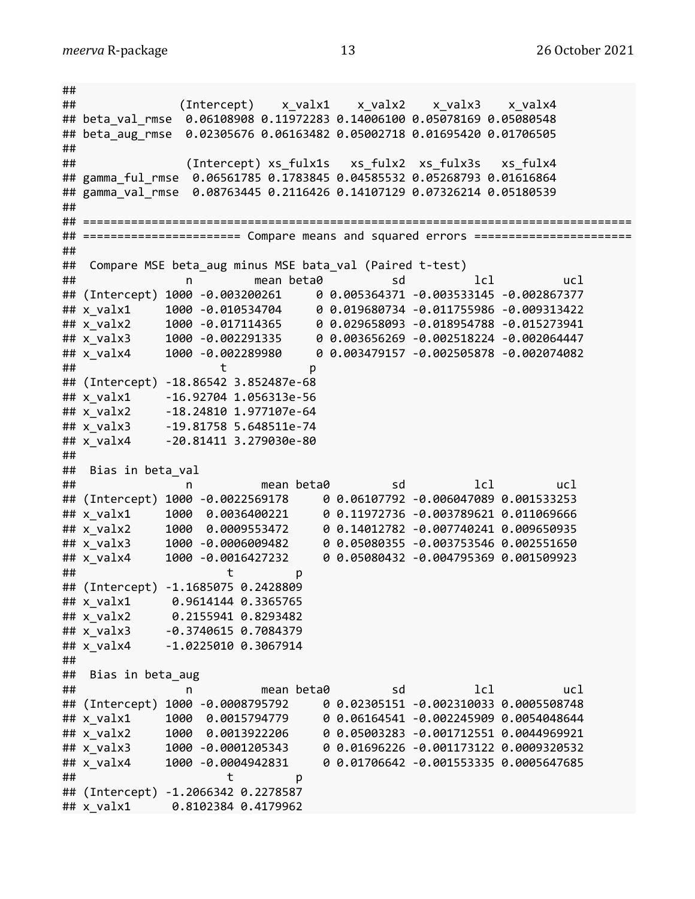## ## (Intercept) x\_valx1 x\_valx2 x\_valx3 x\_valx4 ## beta\_val\_rmse 0.06108908 0.11972283 0.14006100 0.05078169 0.05080548 ## beta aug rmse 0.02305676 0.06163482 0.05002718 0.01695420 0.01706505 ## ## (Intercept) xs fulx1s xs fulx2 xs fulx3s xs fulx4 ## gamma ful rmse 0.06561785 0.1783845 0.04585532 0.05268793 0.01616864 ## gamma\_val\_rmse 0.08763445 0.2116426 0.14107129 0.07326214 0.05180539 ## ## ================================================================================ ## ======================= Compare means and squared errors ======================= ## ## Compare MSE beta\_aug minus MSE bata\_val (Paired t-test) ## n mean beta0 sd lcl ucl ## (Intercept) 1000 -0.003200261 0 0.005364371 -0.003533145 -0.002867377 ## x\_valx1 1000 -0.010534704 0 0.019680734 -0.011755986 -0.009313422 ## x\_valx2 1000 -0.017114365 0 0.029658093 -0.018954788 -0.015273941 ## x\_valx3 1000 -0.002291335 0 0.003656269 -0.002518224 -0.002064447 ## x\_valx4 1000 -0.002289980 0 0.003479157 -0.002505878 -0.002074082 ## t p ## (Intercept) -18.86542 3.852487e-68 ## x\_valx1 -16.92704 1.056313e-56 ## x\_valx2 -18.24810 1.977107e-64 ## x\_valx3 -19.81758 5.648511e-74 ## x\_valx4 -20.81411 3.279030e-80 ## ## Bias in beta\_val ## n mean beta0 sd lcl ucl ## (Intercept) 1000 -0.0022569178 0 0.06107792 -0.006047089 0.001533253 ## x\_valx1 1000 0.0036400221 0 0.11972736 -0.003789621 0.011069666 ## x\_valx2 1000 0.0009553472 0 0.14012782 -0.007740241 0.009650935 ## x\_valx3 1000 -0.0006009482 0 0.05080355 -0.003753546 0.002551650 ## x\_valx4 1000 -0.0016427232 0 0.05080432 -0.004795369 0.001509923 ## t p ## (Intercept) -1.1685075 0.2428809 ## x\_valx1 0.9614144 0.3365765 ## x\_valx2 0.2155941 0.8293482 ## x\_valx3 -0.3740615 0.7084379 ## x\_valx4 -1.0225010 0.3067914 ## ## Bias in beta aug ## n mean beta0 sd lcl ucl ## (Intercept) 1000 -0.0008795792 0 0.02305151 -0.002310033 0.0005508748 ## x\_valx1 1000 0.0015794779 0 0.06164541 -0.002245909 0.0054048644 ## x\_valx2 1000 0.0013922206 0 0.05003283 -0.001712551 0.0044969921 ## x\_valx3 1000 -0.0001205343 0 0.01696226 -0.001173122 0.0009320532 ## x\_valx4 1000 -0.0004942831 0 0.01706642 -0.001553335 0.0005647685 ## t p ## (Intercept) -1.2066342 0.2278587 ## x\_valx1 0.8102384 0.4179962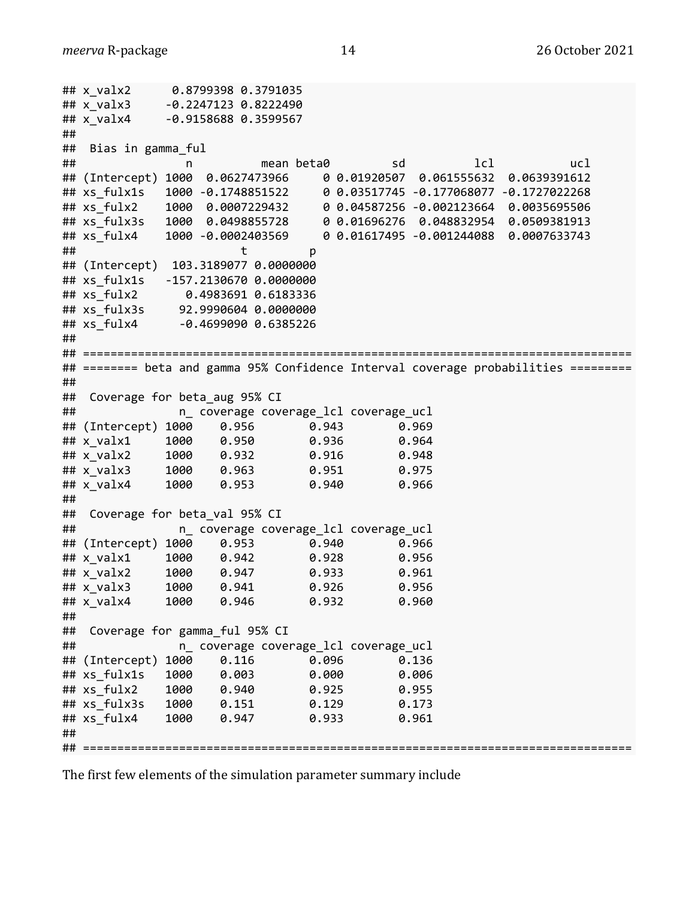```
## x_valx2 0.8799398 0.3791035
## x_valx3 -0.2247123 0.8222490
## x_valx4 -0.9158688 0.3599567
## 
## Bias in gamma_ful
## n mean beta0 sd lcl ucl
## (Intercept) 1000 0.0627473966 0 0.01920507 0.061555632 0.0639391612
## xs_fulx1s 1000 -0.1748851522 0 0.03517745 -0.177068077 -0.1727022268
## xs_fulx2 1000 0.0007229432 0 0.04587256 -0.002123664 0.0035695506
## xs_fulx3s 1000 0.0498855728 0 0.01696276 0.048832954 0.0509381913
## xs_fulx4 1000 -0.0002403569 0 0.01617495 -0.001244088 0.0007633743
## t p
## (Intercept) 103.3189077 0.0000000
## xs_fulx1s -157.2130670 0.0000000
## xs_fulx2 0.4983691 0.6183336
## xs_fulx3s 92.9990604 0.0000000
## xs_fulx4 -0.4699090 0.6385226
## 
## ================================================================================
## ======== beta and gamma 95% Confidence Interval coverage probabilities =========
## 
## Coverage for beta aug 95% CI
## n_ coverage coverage_lcl coverage_ucl
## (Intercept) 1000 0.956 0.943 0.969
## x_valx1 1000 0.950 0.936 0.964
## x_valx2 1000 0.932 0.916 0.948
## x_valx3 1000 0.963 0.951 0.975
## x_valx4 1000 0.953 0.940 0.966
## 
## Coverage for beta val 95% CI
## n_ coverage coverage_lcl coverage_ucl
## (Intercept) 1000 0.953 0.940 0.966
## x_valx1 1000 0.942 0.928 0.956
## x_valx2 1000 0.947 0.933 0.961
## x_valx3 1000 0.941 0.926 0.956
## x_valx4 1000 0.946 0.932 0.960
## 
## Coverage for gamma_ful 95% CI 
## n_ coverage coverage_lcl coverage_ucl
## (Intercept) 1000 0.116 0.096 0.136
## xs_fulx1s 1000 0.003 0.000 0.006
## xs_fulx2 1000 0.940 0.925 0.955
## xs_fulx3s 1000 0.151 0.129 0.173
## xs_fulx4 1000 0.947 0.933 0.961
## 
## ================================================================================
```
The first few elements of the simulation parameter summary include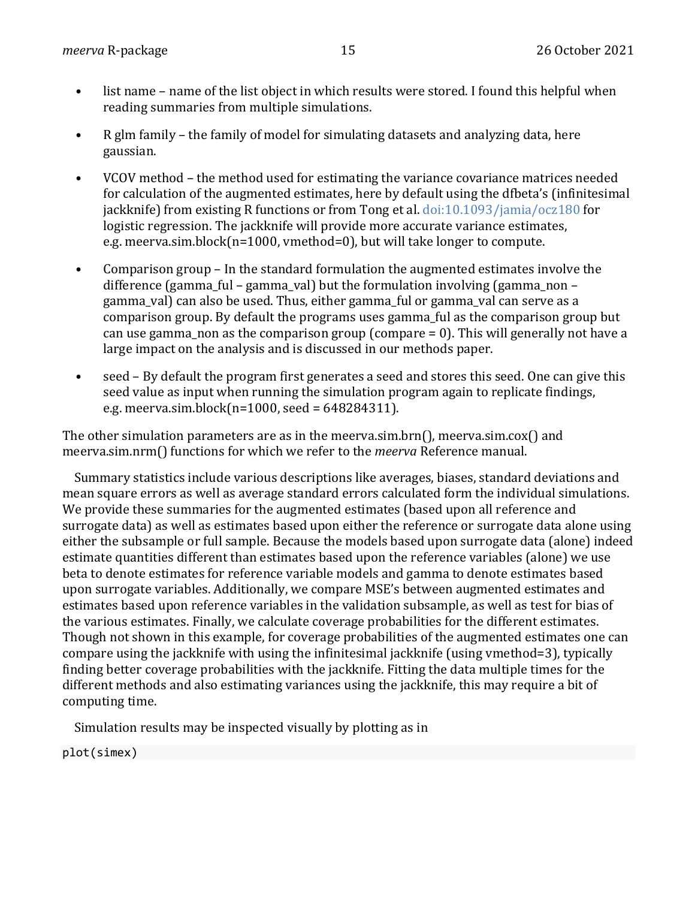- list name name of the list object in which results were stored. I found this helpful when reading summaries from multiple simulations.
- R glm family the family of model for simulating datasets and analyzing data, here gaussian.
- VCOV method the method used for estimating the variance covariance matrices needed for calculation of the augmented estimates, here by default using the dfbeta's (infinitesimal jackknife) from existing R functions or from Tong et al.  $\frac{doi:10.1093}{jami}$  ocz180 for logistic regression. The jackknife will provide more accurate variance estimates, e.g. meerva.sim.block( $n=1000$ , vmethod=0), but will take longer to compute.
- Comparison group In the standard formulation the augmented estimates involve the difference (gamma\_ful – gamma\_val) but the formulation involving (gamma\_non – gamma\_val) can also be used. Thus, either gamma\_ful or gamma\_val can serve as a comparison group. By default the programs uses gamma\_ful as the comparison group but can use gamma non as the comparison group (compare  $= 0$ ). This will generally not have a large impact on the analysis and is discussed in our methods paper.
- seed By default the program first generates a seed and stores this seed. One can give this seed value as input when running the simulation program again to replicate findings, e.g. meerva.sim.block $(n=1000, \text{seed} = 648284311)$ .

The other simulation parameters are as in the meerva.sim.brn(), meerva.sim.cox() and meerva.sim.nrm() functions for which we refer to the *meerva* Reference manual.

Summary statistics include various descriptions like averages, biases, standard deviations and mean square errors as well as average standard errors calculated form the individual simulations. We provide these summaries for the augmented estimates (based upon all reference and surrogate data) as well as estimates based upon either the reference or surrogate data alone using either the subsample or full sample. Because the models based upon surrogate data (alone) indeed estimate quantities different than estimates based upon the reference variables (alone) we use beta to denote estimates for reference variable models and gamma to denote estimates based upon surrogate variables. Additionally, we compare MSE's between augmented estimates and estimates based upon reference variables in the validation subsample, as well as test for bias of the various estimates. Finally, we calculate coverage probabilities for the different estimates. Though not shown in this example, for coverage probabilities of the augmented estimates one can compare using the jackknife with using the infinitesimal jackknife (using vmethod=3), typically finding better coverage probabilities with the jackknife. Fitting the data multiple times for the different methods and also estimating variances using the jackknife, this may require a bit of computing time.

Simulation results may be inspected visually by plotting as in

plot(simex)